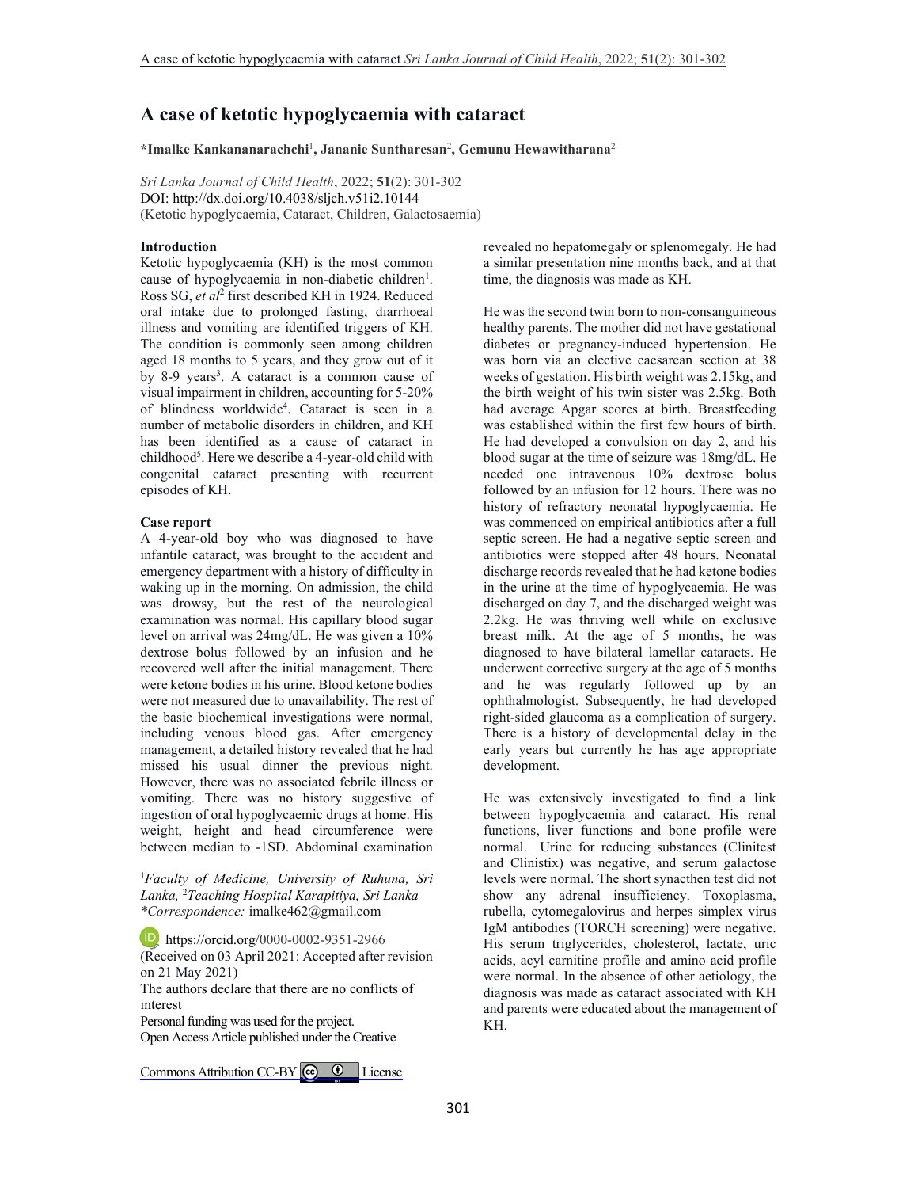# **A case of ketotic hypoglycaemia with cataract**

**\*Imalke Kankananarachchi**<sup>1</sup> **, Jananie Suntharesan**<sup>2</sup> **, Gemunu Hewawitharana**<sup>2</sup>

*Sri Lanka Journal of Child Health*, 2022; **51**(2): 301-302 DOI: http://dx.doi.org/10.4038/sljch.v51i2.10144 (Ketotic hypoglycaemia, Cataract, Children, Galactosaemia)

# **Introduction**

Ketotic hypoglycaemia (KH) is the most common cause of hypoglycaemia in non-diabetic children<sup>1</sup>. Ross SG, *et al*<sup>2</sup> first described KH in 1924. Reduced oral intake due to prolonged fasting, diarrhoeal illness and vomiting are identified triggers of KH. The condition is commonly seen among children aged 18 months to 5 years, and they grow out of it by 8-9 years<sup>3</sup>. A cataract is a common cause of visual impairment in children, accounting for 5-20% of blindness worldwide<sup>4</sup> . Cataract is seen in a number of metabolic disorders in children, and KH has been identified as a cause of cataract in childhood<sup>5</sup>. Here we describe a 4-year-old child with congenital cataract presenting with recurrent episodes of KH.

### **Case report**

A 4-year-old boy who was diagnosed to have infantile cataract, was brought to the accident and emergency department with a history of difficulty in waking up in the morning. On admission, the child was drowsy, but the rest of the neurological examination was normal. His capillary blood sugar level on arrival was 24mg/dL. He was given a 10% dextrose bolus followed by an infusion and he recovered well after the initial management. There were ketone bodies in his urine. Blood ketone bodies were not measured due to unavailability. The rest of the basic biochemical investigations were normal, including venous blood gas. After emergency management, a detailed history revealed that he had missed his usual dinner the previous night. However, there was no associated febrile illness or vomiting. There was no history suggestive of ingestion of oral hypoglycaemic drugs at home. His weight, height and head circumference were between median to -1SD. Abdominal examination

<sup>1</sup>*Faculty of Medicine, University of Ruhuna, Sri Lanka,* <sup>2</sup>*Teaching Hospital Karapitiya, Sri Lanka \*Correspondence:* imalke462@gmail.com

\_\_\_\_\_\_\_\_\_\_\_\_\_\_\_\_\_\_\_\_\_\_\_\_\_\_\_\_\_\_\_\_\_\_\_\_\_\_\_\_\_

**b** https://orcid.org/0000-0002-9351-2966 (Received on 03 April 2021: Accepted after revision on 21 May 2021) The authors declare that there are no conflicts of interest

Personal funding was used for the project. Open Access Article published under the [Creative](https://creativecommons.org/licenses/by/4.0/)

Commons Attribution CC-BY  $\bigcirc$   $\bullet$  License

revealed no hepatomegaly or splenomegaly. He had a similar presentation nine months back, and at that time, the diagnosis was made as KH.

He was the second twin born to non-consanguineous healthy parents. The mother did not have gestational diabetes or pregnancy-induced hypertension. He was born via an elective caesarean section at 38 weeks of gestation. His birth weight was 2.15kg, and the birth weight of his twin sister was 2.5kg. Both had average Apgar scores at birth. Breastfeeding was established within the first few hours of birth. He had developed a convulsion on day 2, and his blood sugar at the time of seizure was 18mg/dL. He needed one intravenous 10% dextrose bolus followed by an infusion for 12 hours. There was no history of refractory neonatal hypoglycaemia. He was commenced on empirical antibiotics after a full septic screen. He had a negative septic screen and antibiotics were stopped after 48 hours. Neonatal discharge records revealed that he had ketone bodies in the urine at the time of hypoglycaemia. He was discharged on day 7, and the discharged weight was 2.2kg. He was thriving well while on exclusive breast milk. At the age of 5 months, he was diagnosed to have bilateral lamellar cataracts. He underwent corrective surgery at the age of 5 months and he was regularly followed up by an ophthalmologist. Subsequently, he had developed right-sided glaucoma as a complication of surgery. There is a history of developmental delay in the early years but currently he has age appropriate development.

He was extensively investigated to find a link between hypoglycaemia and cataract. His renal functions, liver functions and bone profile were normal. Urine for reducing substances (Clinitest and Clinistix) was negative, and serum galactose levels were normal. The short synacthen test did not show any adrenal insufficiency. Toxoplasma, rubella, cytomegalovirus and herpes simplex virus IgM antibodies (TORCH screening) were negative. His serum triglycerides, cholesterol, lactate, uric acids, acyl carnitine profile and amino acid profile were normal. In the absence of other aetiology, the diagnosis was made as cataract associated with KH and parents were educated about the management of KH.